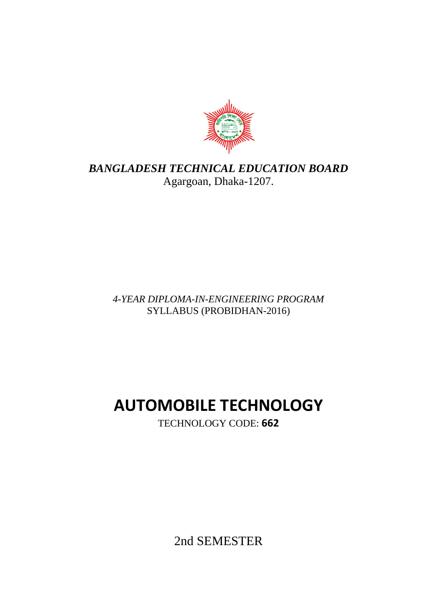

# *BANGLADESH TECHNICAL EDUCATION BOARD* Agargoan, Dhaka-1207.

## *4-YEAR DIPLOMA-IN-ENGINEERING PROGRAM* SYLLABUS (PROBIDHAN-2016)

# **AUTOMOBILE TECHNOLOGY**

TECHNOLOGY CODE: **662**

2nd SEMESTER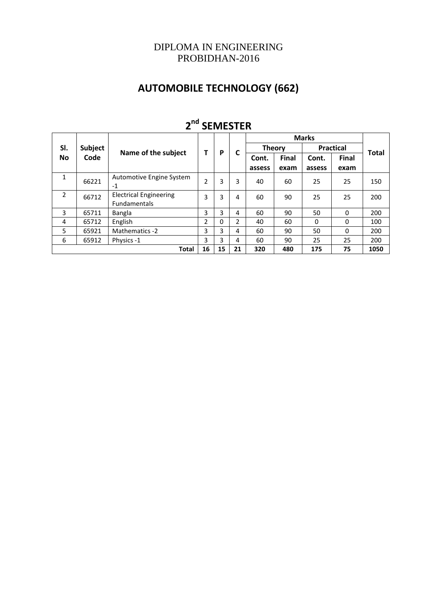## DIPLOMA IN ENGINEERING PROBIDHAN-2016

# **AUTOMOBILE TECHNOLOGY (662)**

| -<br>JLIVILJ I LIV |                                                            |                                               |                |   |              |               |                       |                  |              |     |
|--------------------|------------------------------------------------------------|-----------------------------------------------|----------------|---|--------------|---------------|-----------------------|------------------|--------------|-----|
|                    |                                                            |                                               |                |   | <b>Marks</b> |               |                       |                  |              |     |
| SI.                | <b>Subject</b><br>Code                                     | Name of the subject                           | т              | P |              | <b>Theory</b> |                       | <b>Practical</b> |              |     |
| No                 |                                                            |                                               |                |   |              | Cont.         | <b>Final</b><br>Cont. | <b>Final</b>     | <b>Total</b> |     |
|                    |                                                            |                                               |                |   |              | assess        | exam                  | assess           | exam         |     |
| $\mathbf{1}$       | 66221                                                      | Automotive Engine System<br>$-1$              | $\overline{2}$ | 3 | 3            | 40            | 60                    | 25               | 25           | 150 |
| $\overline{2}$     | 66712                                                      | <b>Electrical Engineering</b><br>Fundamentals | 3              | 3 | 4            | 60            | 90                    | 25               | 25           | 200 |
| 3                  | 65711                                                      | Bangla                                        | 3              | 3 | 4            | 60            | 90                    | 50               | $\Omega$     | 200 |
| 4                  | 65712                                                      | English                                       | 2              | 0 | 2            | 40            | 60                    | 0                | $\Omega$     | 100 |
| 5                  | 65921                                                      | Mathematics -2                                | 3              | 3 | 4            | 60            | 90                    | 50               | $\Omega$     | 200 |
| 6                  | 65912                                                      | Physics -1                                    | 3              | 3 | 4            | 60            | 90                    | 25               | 25           | 200 |
|                    | 16<br>15<br>21<br>75<br>320<br>Total<br>480<br>175<br>1050 |                                               |                |   |              |               |                       |                  |              |     |

# **2 nd SEMESTER**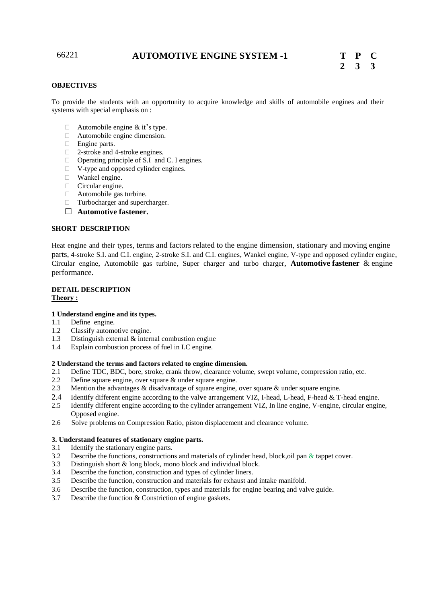## 66221 **AUTOMOTIVE ENGINE SYSTEM -1 T P C**

#### **OBJECTIVES**

To provide the students with an opportunity to acquire knowledge and skills of automobile engines and their systems with special emphasis on :

- $\Box$  Automobile engine & it's type.
- Automobile engine dimension.
- Engine parts.
- □ 2-stroke and 4-stroke engines.
- □ Operating principle of S.I and C. I engines.
- □ V-type and opposed cylinder engines.
- Wankel engine.
- $\Box$  Circular engine.
- Automobile gas turbine.
- Turbocharger and supercharger.
- **Automotive fastener.**

#### **SHORT DESCRIPTION**

Heat engine and their types, terms and factors related to the engine dimension, stationary and moving engine parts, 4-stroke S.I. and C.I. engine, 2-stroke S.I. and C.I. engines, Wankel engine, V-type and opposed cylinder engine, Circular engine, Automobile gas turbine, Super charger and turbo charger, **Automotive fastener** & engine performance.

#### **DETAIL DESCRIPTION Theory :**

#### **1 Understand engine and its types.**

- 1.1 Define engine.
- 1.2 Classify automotive engine.
- 1.3 Distinguish external & internal combustion engine
- 1.4 Explain combustion process of fuel in I.C engine.

#### **2 Understand the terms and factors related to engine dimension.**

- 2.1 Define TDC, BDC, bore, stroke, crank throw, clearance volume, swept volume, compression ratio, etc.
- 2.2 Define square engine, over square & under square engine.
- 2.3 Mention the advantages & disadvantage of square engine, over square & under square engine.
- 2.4 Identify different engine according to the val**v**e arrangement VIZ, I-head, L-head, F-head & T-head engine.
- 2.5 Identify different engine according to the cylinder arrangement VIZ, In line engine, V-engine, circular engine, Opposed engine.
- 2.6 Solve problems on Compression Ratio, piston displacement and clearance volume.

#### **3. Understand features of stationary engine parts.**

- 3.1 Identify the stationary engine parts.
- 3.2 Describe the functions, constructions and materials of cylinder head, block,oil pan & tappet cover.
- 3.3 Distinguish short & long block, mono block and individual block.
- 3.4 Describe the function, construction and types of cylinder liners.
- 3.5 Describe the function, construction and materials for exhaust and intake manifold.
- 3.6 Describe the function, construction, types and materials for engine bearing and valve guide.
- 3.7 Describe the function & Constriction of engine gaskets.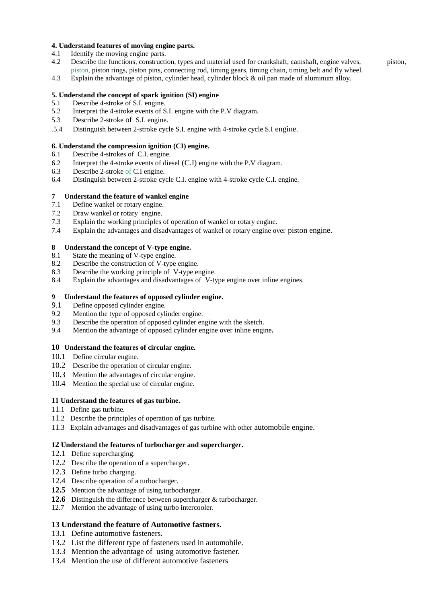#### **4. Understand features of moving engine parts.**

- 4.1 Identify the moving engine parts.
- 4.2 Describe the functions, construction, types and material used for crankshaft, camshaft, engine valves, piston, piston, piston rings, piston pins, connecting rod, timing gears, timing chain, timing belt and fly wheel.
- 4.3 Explain the advantage of piston, cylinder head, cylinder block & oil pan made of aluminum alloy.

#### **5. Understand the concept of spark ignition (SI) engine**

- 5.1 Describe 4-stroke of S.I. engine.
- 5.2 Interpret the 4-stroke events of S.I. engine with the P.V diagram.
- 5.3 Describe 2-stroke of S.I. engine.
- .5.4 Distinguish between 2-stroke cycle S.I. engine with 4-stroke cycle S.I engine.

#### **6. Understand the compression ignition (CI) engine.**

- 6.1 Describe 4-strokes of C.I. engine.
- 6.2 Interpret the 4-stroke events of diesel (C.I) engine with the P.V diagram.
- 6.3 Describe 2-stroke of C.I engine.
- 6.4 Distinguish between 2-stroke cycle C.I. engine with 4-stroke cycle C.I. engine.

#### **7 Understand the feature of wankel engine**

- 7.1 Define wankel or rotary engine.
- 7.2 Draw wankel or rotary engine.
- 7.3 Explain the working principles of operation of wankel or rotary engine.
- 7.4 Explain the advantages and disadvantages of wankel or rotary engine over piston engine.

#### **8 Understand the concept of V-type engine.**

- 8.1 State the meaning of V-type engine.
- 8.2 Describe the construction of V-type engine.
- 8.3 Describe the working principle of V-type engine.
- 8.4 Explain the advantages and disadvantages of V-type engine over inline engines.

#### **9 Understand the features of opposed cylinder engine.**

- 9.1 Define opposed cylinder engine.
- 9.2 Mention the type of opposed cylinder engine.
- 9.3 Describe the operation of opposed cylinder engine with the sketch.
- 9.4 Mention the advantage of opposed cylinder engine over inline engine**.**

#### **10 Understand the features of circular engine.**

- 10.1 Define circular engine.
- 10.2 Describe the operation of circular engine.
- 10.3 Mention the advantages of circular engine.
- 10.4 Mention the special use of circular engine.

#### **11 Understand the features of gas turbine.**

- 11.1 Define gas turbine.
- 11.2 Describe the principles of operation of gas turbine.
- 11.3 Explain advantages and disadvantages of gas turbine with other automobile engine.

#### **12 Understand the features of turbocharger and supercharger.**

- 12.1 Define supercharging.
- 12.2 Describe the operation of a supercharger.
- 12.3 Define turbo charging.
- 12.4 Describe operation of a turbocharger.
- **12.5** Mention the advantage of using turbocharger.
- **12.6** Distinguish the difference between supercharger & turbocharger.
- 12.7 Mention the advantage of using turbo intercooler.

#### **13 Understand the feature of Automotive fastners.**

- 13.1 Define automotive fasteners.
- 13.2 List the different type of fasteners used in automobile.
- 13.3 Mention the advantage of using automotive fastener.
- 13.4 Mention the use of different automotive fasteners.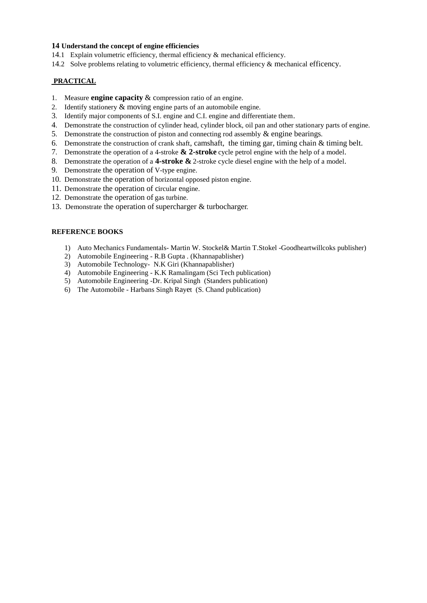#### **14 Understand the concept of engine efficiencies**

- 14.1 Explain volumetric efficiency, thermal efficiency & mechanical efficiency.
- 14.2 Solve problems relating to volumetric efficiency, thermal efficiency & mechanical efficency.

### **PRACTICAL**

- 1. Measure **engine capacity** & compression ratio of an engine.
- 2. Identify stationery & moving engine parts of an automobile engine.
- 3. Identify major components of S.I. engine and C.I. engine and differentiate them.
- 4. Demonstrate the construction of cylinder head, cylinder block, oil pan and other stationary parts of engine.
- 5. Demonstrate the construction of piston and connecting rod assembly  $\&$  engine bearings.
- 6. Demonstrate the construction of crank shaft, camshaft, the timing gar, timing chain & timing belt.
- 7. Demonstrate the operation of a 4-stroke **& 2-stroke** cycle petrol engine with the help of a model.
- 8. Demonstrate the operation of a **4-stroke &** 2-stroke cycle diesel engine with the help of a model.
- 9. Demonstrate the operation of V-type engine.
- 10. Demonstrate the operation of horizontal opposed piston engine.
- 11. Demonstrate the operation of circular engine.
- 12. Demonstrate the operation of gas turbine.
- 13. Demonstrate the operation of supercharger & turbocharger.

## **REFERENCE BOOKS**

- 1) Auto Mechanics Fundamentals- Martin W. Stockel& Martin T.Stokel -Goodheartwillcoks publisher)
- 2) Automobile Engineering R.B Gupta . (Khannapablisher)
- 3) Automobile Technology- N.K Giri (Khannapablisher)
- 4) Automobile Engineering K.K Ramalingam (Sci Tech publication)
- 5) Automobile Engineering -Dr. Kripal Singh (Standers publication)
- 6) The Automobile Harbans Singh Rayet (S. Chand publication)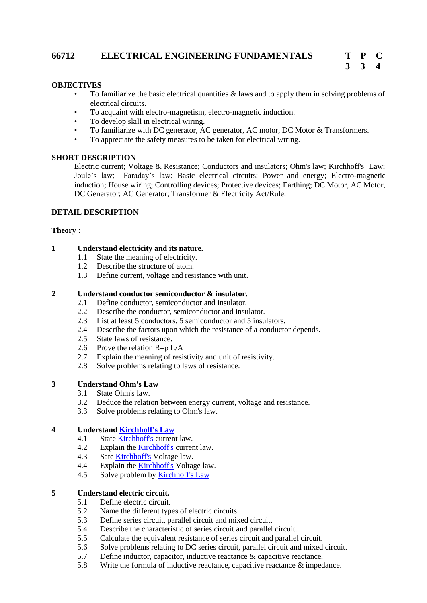## **66712 ELECTRICAL ENGINEERING FUNDAMENTALS T P C**

## **OBJECTIVES**

- To familiarize the basic electrical quantities  $\&$  laws and to apply them in solving problems of electrical circuits.
- To acquaint with electro-magnetism, electro-magnetic induction.
- To develop skill in electrical wiring.
- To familiarize with DC generator, AC generator, AC motor, DC Motor & Transformers.
- To appreciate the safety measures to be taken for electrical wiring.

## **SHORT DESCRIPTION**

Electric current; Voltage & Resistance; Conductors and insulators; Ohm's law; Kirchhoff's Law; Joule's law; Faraday's law; Basic electrical circuits; Power and energy; Electro-magnetic induction; House wiring; Controlling devices; Protective devices; Earthing; DC Motor, AC Motor, DC Generator; AC Generator; Transformer & Electricity Act/Rule.

## **DETAIL DESCRIPTION**

## **Theory :**

## **1 Understand electricity and its nature.**

- 1.1 State the meaning of electricity.
- 1.2 Describe the structure of atom.
- 1.3 Define current, voltage and resistance with unit.

## **2 Understand conductor semiconductor & insulator.**

- 2.1 Define conductor, semiconductor and insulator.
- 2.2 Describe the conductor, semiconductor and insulator.
- 2.3 List at least 5 conductors, 5 semiconductor and 5 insulators.
- 2.4 Describe the factors upon which the resistance of a conductor depends.
- 2.5 State laws of resistance.
- 2.6 Prove the relation  $R = \rho L/A$
- 2.7 Explain the meaning of resistivity and unit of resistivity.
- 2.8 Solve problems relating to laws of resistance.

## **3 Understand Ohm's Law**

- 3.1 State Ohm's law.
- 3.2 Deduce the relation between energy current, voltage and resistance.
- 3.3 Solve problems relating to Ohm's law.

## **4 Understand [Kirchhoff's Law](http://www.allaboutcircuits.com/textbook/direct-current/chpt-6/kirchhoffs-current-law-kcl/)**

- 4.1 State [Kirchhoff's](http://www.allaboutcircuits.com/textbook/direct-current/chpt-6/kirchhoffs-current-law-kcl/) current law.
- 4.2 Explain th[e Kirchhoff's](http://www.allaboutcircuits.com/textbook/direct-current/chpt-6/kirchhoffs-current-law-kcl/) current law.
- 4.3 Sate [Kirchhoff's](http://www.allaboutcircuits.com/textbook/direct-current/chpt-6/kirchhoffs-current-law-kcl/) Voltage law.
- 4.4 Explain th[e Kirchhoff's](http://www.allaboutcircuits.com/textbook/direct-current/chpt-6/kirchhoffs-current-law-kcl/) Voltage law.
- 4.5 Solve problem by [Kirchhoff's Law](http://www.allaboutcircuits.com/textbook/direct-current/chpt-6/kirchhoffs-current-law-kcl/)

## **5 Understand electric circuit.**

- 5.1 Define electric circuit.
- 5.2 Name the different types of electric circuits.
- 5.3 Define series circuit, parallel circuit and mixed circuit.
- 5.4 Describe the characteristic of series circuit and parallel circuit.<br>5.5 Calculate the equivalent resistance of series circuit and parallel
- 5.5 Calculate the equivalent resistance of series circuit and parallel circuit.
- 5.6 Solve problems relating to DC series circuit, parallel circuit and mixed circuit.
- 5.7 Define inductor, capacitor, inductive reactance & capacitive reactance.
- 5.8 Write the formula of inductive reactance, capacitive reactance & impedance.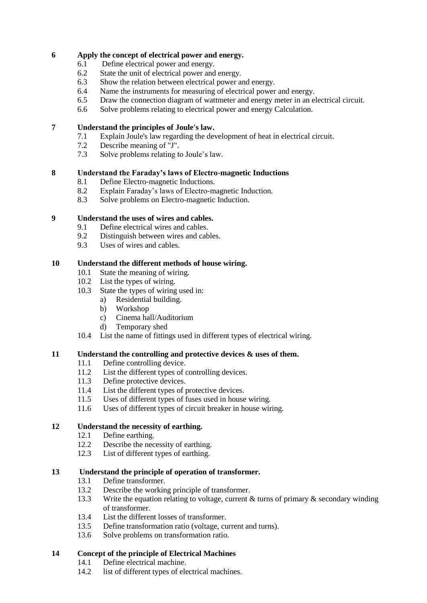## **6 Apply the concept of electrical power and energy.**

- 6.1 Define electrical power and energy.
- 6.2 State the unit of electrical power and energy.
- 6.3 Show the relation between electrical power and energy.
- 6.4 Name the instruments for measuring of electrical power and energy.
- 6.5 Draw the connection diagram of wattmeter and energy meter in an electrical circuit.
- 6.6 Solve problems relating to electrical power and energy Calculation.

## **7 Understand the principles of Joule's law.**

- 7.1 Explain Joule's law regarding the development of heat in electrical circuit.
- 7.2 Describe meaning of "J".
- 7.3 Solve problems relating to Joule's law.

## **8 Understand the Faraday's laws of Electro-magnetic Inductions**

- 8.1 Define Electro-magnetic Inductions.
- 8.2 Explain Faraday's laws of Electro-magnetic Induction.
- 8.3 Solve problems on Electro-magnetic Induction.

## **9 Understand the uses of wires and cables.**

- 9.1 Define electrical wires and cables.
- 9.2 Distinguish between wires and cables.
- 9.3 Uses of wires and cables.

## **10 Understand the different methods of house wiring.**

- 10.1 State the meaning of wiring.
- 10.2 List the types of wiring.
- 10.3 State the types of wiring used in:
	- a) Residential building.
	- b) Workshop
	- c) Cinema hall/Auditorium
	- d) Temporary shed
- 10.4 List the name of fittings used in different types of electrical wiring.

## **11 Understand the controlling and protective devices & uses of them.**

- 11.1 Define controlling device.
- 11.2 List the different types of controlling devices.
- 11.3 Define protective devices.
- 11.4 List the different types of protective devices.
- 11.5 Uses of different types of fuses used in house wiring.
- 11.6 Uses of different types of circuit breaker in house wiring.

## **12 Understand the necessity of earthing.**

- 12.1 Define earthing.
- 12.2 Describe the necessity of earthing.
- 12.3 List of different types of earthing.

## **13 Understand the principle of operation of transformer.**

- 13.1 Define transformer.
- 13.2 Describe the working principle of transformer.
- 13.3 Write the equation relating to voltage, current  $\&$  turns of primary  $\&$  secondary winding of transformer.
- 13.4 List the different losses of transformer.
- 13.5 Define transformation ratio (voltage, current and turns).
- 13.6 Solve problems on transformation ratio.

## **14 Concept of the principle of Electrical Machines**

- 14.1 Define electrical machine.
- 14.2 list of different types of electrical machines.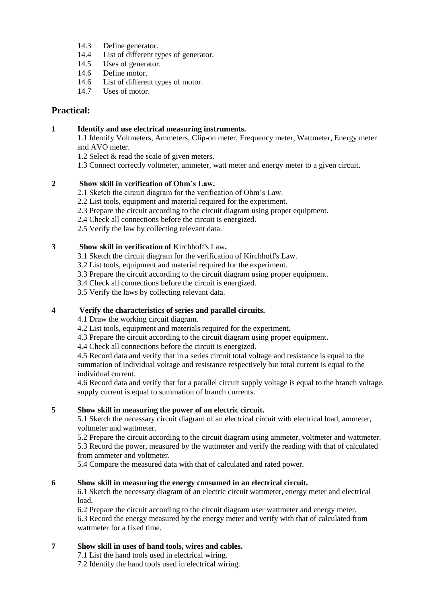- 14.3 Define generator.
- 14.4 List of different types of generator.
- 14.5 Uses of generator.
- 14.6 Define motor.
- 14.6 List of different types of motor.
- 14.7 Uses of motor.

## **Practical:**

## **1 Identify and use electrical measuring instruments.**

1.1 Identify Voltmeters, Ammeters, Clip-on meter, Frequency meter, Wattmeter, Energy meter and AVO meter.

- 1.2 Select & read the scale of given meters.
- 1.3 Connect correctly voltmeter, ammeter, watt meter and energy meter to a given circuit.

## **2 Show skill in verification of Ohm's Law.**

- 2.1 Sketch the circuit diagram for the verification of Ohm's Law.
- 2.2 List tools, equipment and material required for the experiment.
- 2.3 Prepare the circuit according to the circuit diagram using proper equipment.
- 2.4 Check all connections before the circuit is energized.
- 2.5 Verify the law by collecting relevant data.

## **3 Show skill in verification of** Kirchhoff's Law**.**

- 3.1 Sketch the circuit diagram for the verification of Kirchhoff's Law.
- 3.2 List tools, equipment and material required for the experiment.
- 3.3 Prepare the circuit according to the circuit diagram using proper equipment.
- 3.4 Check all connections before the circuit is energized.
- 3.5 Verify the laws by collecting relevant data.

## **4 Verify the characteristics of series and parallel circuits.**

- 4.1 Draw the working circuit diagram.
- 4.2 List tools, equipment and materials required for the experiment.
- 4.3 Prepare the circuit according to the circuit diagram using proper equipment.
- 4.4 Check all connections before the circuit is energized.

4.5 Record data and verify that in a series circuit total voltage and resistance is equal to the summation of individual voltage and resistance respectively but total current is equal to the individual current.

4.6 Record data and verify that for a parallel circuit supply voltage is equal to the branch voltage, supply current is equal to summation of branch currents.

## **5 Show skill in measuring the power of an electric circuit.**

5.1 Sketch the necessary circuit diagram of an electrical circuit with electrical load, ammeter, voltmeter and wattmeter.

5.2 Prepare the circuit according to the circuit diagram using ammeter, voltmeter and wattmeter. 5.3 Record the power, measured by the wattmeter and verify the reading with that of calculated from ammeter and voltmeter.

5.4 Compare the measured data with that of calculated and rated power.

## **6 Show skill in measuring the energy consumed in an electrical circuit.**

6.1 Sketch the necessary diagram of an electric circuit wattmeter, energy meter and electrical load.

6.2 Prepare the circuit according to the circuit diagram user wattmeter and energy meter. 6.3 Record the energy measured by the energy meter and verify with that of calculated from wattmeter for a fixed time.

## **7 Show skill in uses of hand tools, wires and cables.**

7.1 List the hand tools used in electrical wiring.

7.2 Identify the hand tools used in electrical wiring.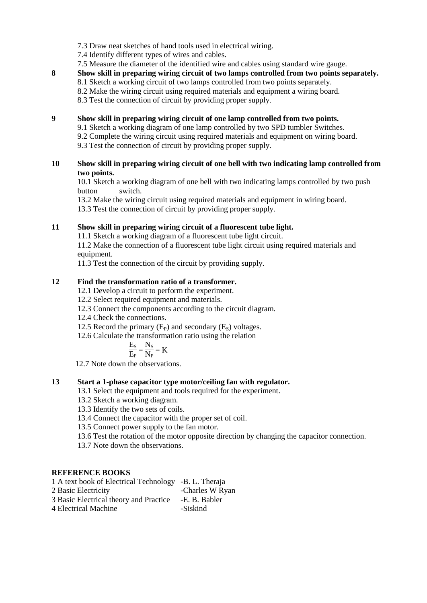- 7.3 Draw neat sketches of hand tools used in electrical wiring.
- 7.4 Identify different types of wires and cables.
- 7.5 Measure the diameter of the identified wire and cables using standard wire gauge.

## **8 Show skill in preparing wiring circuit of two lamps controlled from two points separately.** 8.1 Sketch a working circuit of two lamps controlled from two points separately. 8.2 Make the wiring circuit using required materials and equipment a wiring board.

8.3 Test the connection of circuit by providing proper supply.

## **9 Show skill in preparing wiring circuit of one lamp controlled from two points.**

- 9.1 Sketch a working diagram of one lamp controlled by two SPD tumbler Switches.
- 9.2 Complete the wiring circuit using required materials and equipment on wiring board.
- 9.3 Test the connection of circuit by providing proper supply.

## **10 Show skill in preparing wiring circuit of one bell with two indicating lamp controlled from two points.**

10.1 Sketch a working diagram of one bell with two indicating lamps controlled by two push button switch.

13.2 Make the wiring circuit using required materials and equipment in wiring board. 13.3 Test the connection of circuit by providing proper supply.

**11 Show skill in preparing wiring circuit of a fluorescent tube light.**

11.1 Sketch a working diagram of a fluorescent tube light circuit.

11.2 Make the connection of a fluorescent tube light circuit using required materials and equipment.

11.3 Test the connection of the circuit by providing supply.

## **12 Find the transformation ratio of a transformer.**

12.1 Develop a circuit to perform the experiment.

- 12.2 Select required equipment and materials.
- 12.3 Connect the components according to the circuit diagram.
- 12.4 Check the connections.
- 12.5 Record the primary  $(E_P)$  and secondary  $(E_S)$  voltages.
- 12.6 Calculate the transformation ratio using the relation

$$
\frac{E_S}{E_P} \!=\! \frac{N_S}{N_P} \!=K
$$

12.7 Note down the observations.

## **13 Start a 1-phase capacitor type motor/ceiling fan with regulator.**

- 13.1 Select the equipment and tools required for the experiment.
- 13.2 Sketch a working diagram.
- 13.3 Identify the two sets of coils.
- 13.4 Connect the capacitor with the proper set of coil.
- 13.5 Connect power supply to the fan motor.
- 13.6 Test the rotation of the motor opposite direction by changing the capacitor connection.

13.7 Note down the observations.

## **REFERENCE BOOKS**

| 1 A text book of Electrical Technology -B. L. Theraja |                 |
|-------------------------------------------------------|-----------------|
| 2 Basic Electricity                                   | -Charles W Ryan |
| 3 Basic Electrical theory and Practice                | -E. B. Babler   |
| 4 Electrical Machine                                  | -Siskind        |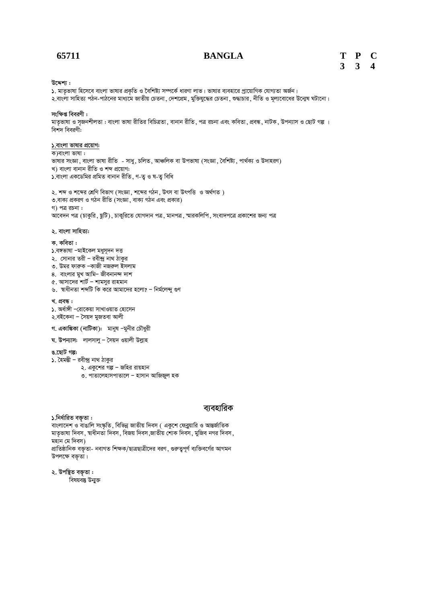## **65711 BANGLA T P C 3 3 4**

#### **D‡Ïk¨ :**

5. মাতৃভাষা হিসেবে বাংলা ভাষার প্রকৃতি ও বৈশিষ্ট্য সম্পর্কে ধারণা লাভ। ভাষার ব্যবহারে প্রায়োগিক যোগ্যতা অর্জন। ২.বাংলা সাহিত্য পঠন-পাঠনের মাধ্যমে জাতীয় চেতনা ,দেশপ্রেম ,মুক্তিযুদ্ধের চেতনা ,শুদ্ধাচার ,নীতি ও মূল্যবোধের উন্মেষ ঘটানো।

#### সংক্ষিপ্ত বিবরণী :

মাতৃভাষা ও সজনশীলতা : বাংলা ভাষা রীতির বিচিত্রতা , বানান রীতি , পত্র রচনা এবং কবিতা , প্রবন্ধ , নাটক , উপন্যাস ও ছোট গল্প ।  $\overline{R}$ শিদ বিবরণী:

#### **১.বাংলা ভাষার প্রয়োগ:**

ক)বাংলা ভাষা $:$ ভাষার সংজ্ঞা, বাংলা ভাষা রীতি - সাধু, চলিত, আঞ্চলিক বা উপভাষা (সংজ্ঞা, বৈশিষ্ট্য, পার্থক্য ও উদাহরণ) খ) বাংলা বানান রীতি ও শব্দ প্রয়োগ:  $\sqrt{2}$ .বাংলা একডেমির প্রমিত বানান রীতি, ণ-তু ও ষ-তু বিধি

২. শব্দ ও শব্দের শ্রেণি বিভাগ (সংজ্ঞা, শব্দের গঠন, উৎস বা উৎপত্তি ও অর্থগত) ৩.বাক্য প্ৰকরণ ও গঠন রীতি (সংজ্ঞা, বাক্য গঠন এবং প্রকার) গ) পত্র রচনা: .<br>আবেদন পত্র (চাকুরি, ছুটি), চাকুরিতে যোগদান পত্র, মানপত্র, স্মারকলিপি, সংবাদপত্রে প্রকাশের জন্য পত্র

#### ২. বাংলা সাহিত্য:

#### **K. KweZv :**

- ১.বঙ্গভাষা –মাইকেল মধুসূদন দত্ত
- ২. সোনার তরী রবীন্দ্র নাথ ঠাকুর
- ৩. উমর ফারুক –কাজী নজরুল ইসলাম
- $8.$  বাংলার মুখ আমি– জীবনানন্দ দাশ
- $\alpha$ . আসাদের শার্ট শামসুর রাহমান
- ৬. স্বাধীনতা শব্দটি কি করে আমাদের হলো? নির্মলেন্দ গুণ

#### খ. প্ৰবন্ধ**:**

- ১. অৰ্ধাঙ্গী −রোকেয়া সাখাওয়াত হোসেন
- ২.বইকেনা সৈয়দ মুজতবা আলী
- গ. একাঙ্কিকা (নাটিকা): মানুষ –মুনীর চৌধুরী
- **ঘ. উপন্যাস:** লালসালু সৈয়দ ওয়ালী উল্লাহ

#### **O.‡QvU Mí:**

- $\mathcal{S}$ . হৈমন্তী রবীন্দ্র নাথ ঠাকুর
	- ২. একুশের গল্প জহির রায়হান
		- ৩. পাতালেহাসপাতালে হাসান আজিজুল হক

## ব্যবহারিক

#### **১.নিৰ্ধারিত বক্ত়তা :**

বাংলাদেশ ও বাঙালি সংস্কৃতি, বিভিন্ন জাতীয় দিবস ( একুশে ফেব্রুয়ারি ও আন্তর্জাতিক মাতৃভাষা দিবস, শ্বাধীনতা দিবস, বিজয় দিবস,জাতীয় শোক দিবস, মুজিব নগর দিবস, মহান মে দিবস)

প্ৰাতিষ্ঠানিক বক্তৃতা- নবাগত শিক্ষক/ছাত্ৰছাত্ৰীদের বরণ, গুরুত্বপূর্ণ ব্যক্তিবর্গের আগমন উপলক্ষে বক্তৃতা।

#### ২. উপস্থিত বক্ত়তা :

বিষয়বস্তু উন্মুক্ত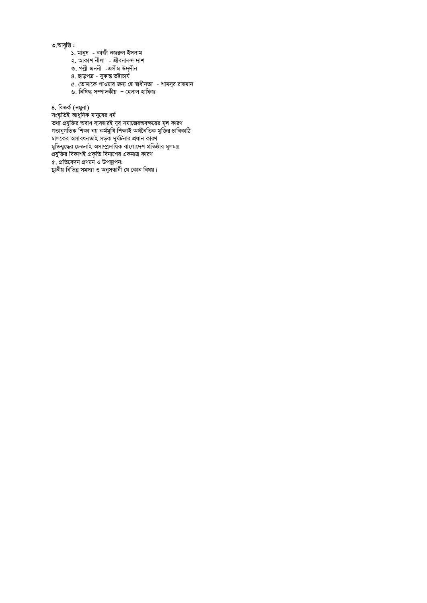### ৩.আবৃত্তি :

- ১. মানুষ কাজী নজরুল ইসলাম
- ২. আকাশ নীলা জীবনানন্দ দাশ
- ৩. পল্লী জননী -জসীম উদ্দীন
	- $8.$  ছাড়পত্ৰ সুকান্ত ভট্টাচাৰ্য
	- 5. †Zvgv‡K cvIqvi Rb¨ †n ¯^vaxbZv kvgmyi ivngvb
	- e.<br>৬. নিষিদ্ধ সম্পাদকীয় হেলাল হাফিজ

8. বিতৰ্ক (নমুনা)

সংস্কৃতিই আধুনিক মানুষের ধর্ম তথ্য প্রযুক্তির অবাধ ব্যবহারই যুব সমাজেরঅবক্ষয়ের মূল কারণ গতানুগতিক শিক্ষা নয় কৰ্মমুখি শিক্ষাই অৰ্থনৈতিক মুক্তির চাবিকাঠি ালকের অসাবধনতাই সড়ক দুর্ঘটনার প্রধান কারণ কাৰত কৰা হৈছে।<br>মুক্তিযুদ্ধের চেতনাই অসাম্প্রদায়িক বাংলাদেশ প্রতিষ্ঠার মূলমন্ত্র ্বী কৰা আৰু সকলো সকলো আৰু কাৰণ কৰা হৈছে।<br>প্ৰযুক্তির বিকাশই প্ৰকৃতি বিনাশের একমাত্র কারণ  $\alpha$ . প্ৰতিবেদন প্ৰণয়ন ও উপস্থাপন: 'ছানীয় বিভিন্ন সমস্যা ও অনুসন্ধানী যে কোন বিষয়।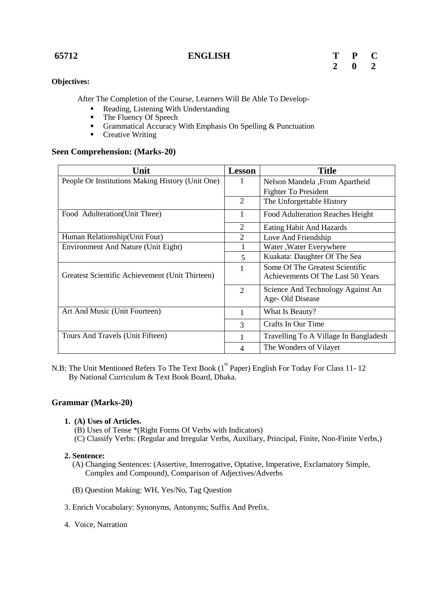**65712 ENGLISH T P C**

| T            | P | C |
|--------------|---|---|
| $\mathbf{2}$ | 0 | 2 |

# **Objectives:**

After The Completion of the Course, Learners Will Be Able To Develop-

- Reading, Listening With Understanding
- The Fluency Of Speech
- Grammatical Accuracy With Emphasis On Spelling  $&$  Punctuation
- **•** Creative Writing

## **Seen Comprehension: (Marks-20)**

| Unit                                             | <b>Lesson</b>  | <b>Title</b>                          |
|--------------------------------------------------|----------------|---------------------------------------|
| People Or Institutions Making History (Unit One) |                | Nelson Mandela , From Apartheid       |
|                                                  |                | Fighter To President                  |
|                                                  | 2              | The Unforgettable History             |
| Food Adulteration (Unit Three)                   | 1              | Food Adulteration Reaches Height      |
|                                                  | 2              | Eating Habit And Hazards              |
| Human Relationship (Unit Four)                   | $\overline{2}$ | Love And Friendship                   |
| Environment And Nature (Unit Eight)              |                | Water, Water Everywhere               |
|                                                  | 5              | Kuakata: Daughter Of The Sea          |
|                                                  |                | Some Of The Greatest Scientific       |
| Greatest Scientific Achievement (Unit Thirteen)  |                | Achievements Of The Last 50 Years     |
|                                                  | $\overline{2}$ | Science And Technology Against An     |
|                                                  |                | Age-Old Disease                       |
| Art And Music (Unit Fourteen)                    |                | What Is Beauty?                       |
|                                                  | $\mathcal{R}$  | Crafts In Our Time                    |
| Tours And Travels (Unit Fifteen)                 |                | Travelling To A Village In Bangladesh |
|                                                  | 4              | The Wonders of Vilayet                |

N.B: The Unit Mentioned Refers To The Text Book (1<sup>st</sup> Paper) English For Today For Class 11-12 By National Curriculum & Text Book Board, Dhaka.

## **Grammar (Marks-20)**

## **1. (A) Uses of Articles.**

(B) Uses of Tense \*(Right Forms Of Verbs with Indicators)

(C) Classify Verbs: (Regular and Irregular Verbs, Auxiliary, Principal, Finite, Non-Finite Verbs,)

## **2. Sentence:**

- (A) Changing Sentences: (Assertive, Interrogative, Optative, Imperative, Exclamatory Simple, Complex and Compound), Comparison of Adjectives/Adverbs
- (B) Question Making: WH, Yes/No, Tag Question
- 3. Enrich Vocabulary: Synonyms, Antonyms; Suffix And Prefix.
- 4. Voice, Narration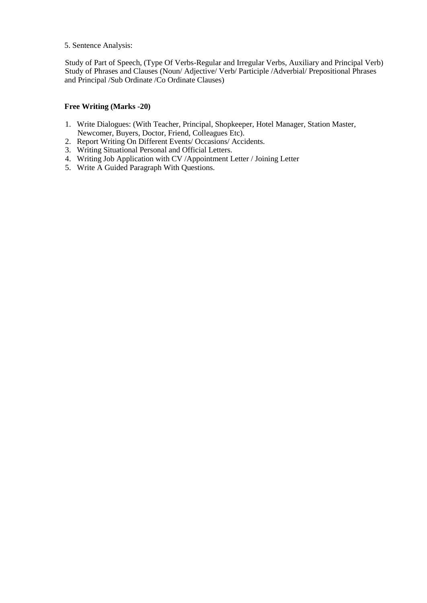## 5. Sentence Analysis:

Study of Part of Speech, (Type Of Verbs-Regular and Irregular Verbs, Auxiliary and Principal Verb) Study of Phrases and Clauses (Noun/ Adjective/ Verb/ Participle /Adverbial/ Prepositional Phrases and Principal /Sub Ordinate /Co Ordinate Clauses)

## **Free Writing (Marks -20)**

- 1. Write Dialogues: (With Teacher, Principal, Shopkeeper, Hotel Manager, Station Master, Newcomer, Buyers, Doctor, Friend, Colleagues Etc).
- 2. Report Writing On Different Events/ Occasions/ Accidents.
- 3. Writing Situational Personal and Official Letters.
- 4. Writing Job Application with CV /Appointment Letter / Joining Letter
- 5. Write A Guided Paragraph With Questions.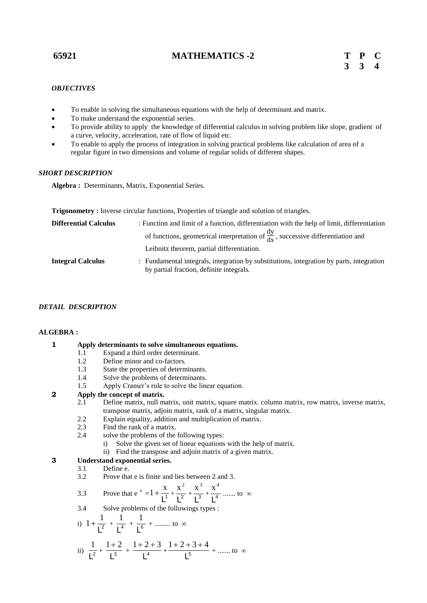## **65921 MATHEMATICS -2 T P C**

### *OBJECTIVES*

- To enable in solving the simultaneous equations with the help of determinant and matrix.
- To make understand the exponential series.
- To provide ability to apply the knowledge of differential calculus in solving problem like slope, gradient of a curve, velocity, acceleration, rate of flow of liquid etc.
- To enable to apply the process of integration in solving practical problems like calculation of area of a regular figure in two dimensions and volume of regular solids of different shapes.

#### *SHORT DESCRIPTION*

**Algebra :** Determinants, Matrix, Exponential Series.

| Trigonometry: Inverse circular functions, Properties of triangle and solution of triangles. |  |  |  |  |
|---------------------------------------------------------------------------------------------|--|--|--|--|
|                                                                                             |  |  |  |  |

| <b>Differential Calculus</b> | : Function and limit of a function, differentiation with the help of limit, differentiation                                          |
|------------------------------|--------------------------------------------------------------------------------------------------------------------------------------|
|                              | of functions, geometrical interpretation of $\frac{dy}{dx}$ , successive differentiation and                                         |
|                              | Leibnitz theorem, partial differentiation.                                                                                           |
| <b>Integral Calculus</b>     | : Fundamental integrals, integration by substitutions, integration by parts, integration<br>by partial fraction, definite integrals. |

## *DETAIL DESCRIPTION*

#### **ALGEBRA :**

## **1 Apply determinants to solve simultaneous equations.**

- 1.1 Expand a third order determinant.
- 1.2 Define minor and co-factors.
- 1.3 State the properties of determinants.
- 1.4 Solve the problems of determinants.
- 1.5 Apply Cramer's rule to solve the linear equation.

## **2 Apply the concept of matrix.**

- 2.1 Define matrix, null matrix, unit matrix, square matrix. column matrix, row matrix, inverse matrix, transpose matrix, adjoin matrix, rank of a matrix, singular matrix.
- 2.2 Explain equality, addition and multiplication of matrix.<br>2.3 Find the rank of a matrix.
- 2.3 Find the rank of a matrix.<br>2.4 solve the problems of the
	- solve the problems of the following types:
		- i) Solve the given set of linear equations with the help of matrix.
		- ii) Find the transpose and adjoin matrix of a given matrix.

#### **3 Understand exponential series.**

- 3.1 Define e.
- 3.2 Prove that e is finite and lies between 2 and 3.

3.3 Prove that 
$$
e^x = 1 + \frac{x}{L^1} + \frac{x^2}{L^2} + \frac{x^3}{L^3} + \frac{x^4}{L^4}
$$
 ...... to  $\infty$ 

3.4 Solve problems of the followings types :

i) 
$$
1 + \frac{1}{L^2} + \frac{1}{L^4} + \frac{1}{L^6} + \dots
$$
 to ∞  
ii)  $\frac{1}{L^2} + \frac{1+2}{L^3} + \frac{1+2+3}{L^4} + \frac{1+2+3+4}{L^5} + \dots$  to ∞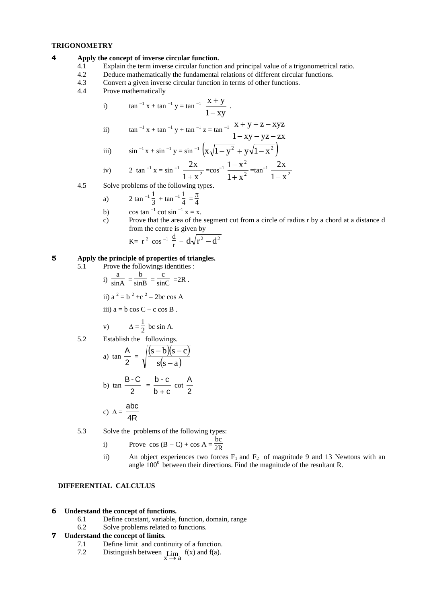#### **TRIGONOMETRY**

#### **4 Apply the concept of inverse circular function.**

- 4.1 Explain the term inverse circular function and principal value of a trigonometrical ratio.
- 4.2 Deduce mathematically the fundamental relations of different circular functions.
- 4.3 Convert a given inverse circular function in terms of other functions.
- 4.4 Prove mathematically

i) 
$$
\tan^{-1} x + \tan^{-1} y = \tan^{-1} \frac{x + y}{1 - xy}
$$
.

ii) 
$$
\tan^{-1} x + \tan^{-1} y + \tan^{-1} z = \tan^{-1} \frac{x + y + z - xyz}{1 - xy - yz - zx}
$$

iii) 
$$
\sin^{-1} x + \sin^{-1} y = \sin^{-1} \left( x \sqrt{1 - y^2} + y \sqrt{1 - x^2} \right)
$$

iv) 2 tan<sup>-1</sup> x = sin<sup>-1</sup> 
$$
\frac{2x}{1+x^2}
$$
 =cos<sup>-1</sup>  $\frac{1-x^2}{1+x^2}$  =tan<sup>-1</sup>  $\frac{2x}{1-x^2}$ 

4.5 Solve problems of the following types.

a) 
$$
2 \tan^{-1} \frac{1}{3} + \tan^{-1} \frac{1}{4} = \frac{\pi}{4}
$$

- b) cos tan  $^{-1}$  cot sin  $^{-1}$  x = x.
- c) Prove that the area of the segment cut from a circle of radius r by a chord at a distance d from the centre is given by

$$
K = r^2 \cos^{-1} \frac{d}{r} - d\sqrt{r^2 - d^2}
$$

#### **5 Apply the principle of properties of triangles.**

5.1 Prove the followings identities : i)  $\frac{a}{\sin A} = \frac{b}{\sin B} = \frac{c}{\sin C} = 2R$ . ii)  $a^2 = b^2 + c^2 - 2bc \cos A$ iii)  $a = b \cos C - c \cos B$ . v)  $\Delta = \frac{1}{2}$  $\frac{1}{2}$  bc sin A. 5.2 Establish the followings. a) tan 2  $\frac{A}{2} = \sqrt{\frac{(s-b)(s-c)}{(s-b)(s-c)}}$  $s(s - a)$  $s - b$ ) $(s - c$  $\overline{a}$  $-b$ )(sb) tan 2  $\frac{B-C}{C}$  =  $b + c$ b - c  $^{+}$ cot 2 A abc

c) 
$$
\Delta = \frac{\text{adoc}}{4R}
$$

5.3 Solve the problems of the following types:

i) Prove 
$$
\cos(B - C) + \cos A = \frac{bc}{2R}
$$

ii) An object experiences two forces  $F_1$  and  $F_2$  of magnitude 9 and 13 Newtons with an angle  $100^0$  between their directions. Find the magnitude of the resultant R.

#### **DIFFERENTIAL CALCULUS**

#### **6 Understand the concept of functions.**

- 6.1 Define constant, variable, function, domain, range
- 6.2 Solve problems related to functions.

#### **7 Understand the concept of limits.**

- 7.1 Define limit and continuity of a function.
- 7.2 Distinguish between  $\lim_{x \to a} f(x)$  and f(a).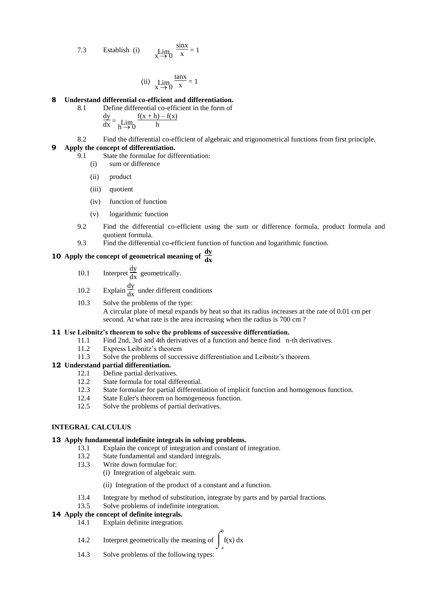7.3 Establish (i) 
$$
\lim_{x \to 0} \frac{\sin x}{x} = 1
$$

(ii) 
$$
\lim_{x \to 0} \frac{\tan x}{x} = 1
$$

#### **8 Understand differential co-efficient and differentiation.**

- 8.1 Define differential co-efficient in the form of
	- $\frac{dy}{dx} = \lim_{h \to 0}$  $f(x + h) - f(x)$ h
- 8.2 Find the differential co-efficient of algebraic and trigonometrical functions from first principle.

#### **9 Apply the concept of differentiation.**

- 9.1 State the formulae for differentiation:
	- (i) sum or difference
	- (ii) product
	- (iii) quotient
	- (iv) function of function
	- (v) logarithmic function
- 9.2 Find the differential co-efficient using the sum or difference formula, product formula and quotient formula.
- 9.3 Find the differential co-efficient function of function and logarithmic function.

# **10** Apply the concept of geometrical meaning of  $\frac{dy}{dx}$

- 10.1 Interpret  $\frac{dy}{dx}$  geometrically.
- 10.2 Explain  $\frac{dy}{dx}$  under different conditions
- 10.3 Solve the problems of the type: A circular plate of metal expands by heat so that its radius increases at the rate of 0.01 cm per second. At what rate is the area increasing when the radius is 700 cm ?

# **11 Use Leibnitz's theorem to solve the problems of successive differentiation.**<br>11.1 Find 2nd. 3rd and 4th derivatives of a function and hence find n

- Find 2nd, 3rd and 4th derivatives of a function and hence find n-th derivatives.
- 11.2 Express Leibnitz's theorem
- 11.3 Solve the problems of successive differentiation and Leibnitz's theorem.

#### **12 Understand partial differentiation.**

- 12.1 Define partial derivatives.
- 12.2 State formula for total differential.
- 12.3 State formulae for partial differentiation of implicit function and homogenous function.
- 12.4 State Euler's theorem on homogeneous function.
- 12.5 Solve the problems of partial derivatives.

## **INTEGRAL CALCULUS**

#### **13 Apply fundamental indefinite integrals in solving problems.**

- 13.1 Explain the concept of integration and constant of integration.
	- 13.2 State fundamental and standard integrals.
	- 13.3 Write down formulae for:
		- (i) Integration of algebraic sum.
			- (ii) Integration of the product of a constant and a function.
	- 13.4 Integrate by method of substitution, integrate by parts and by partial fractions.

a

13.5 Solve problems of indefinite integration.

#### **14 Apply the concept of definite integrals.**

- 14.1 Explain definite integration.
- 14.2 Interpret geometrically the meaning of  $\int_a^b$  $f(x) dx$
- 14.3 Solve problems of the following types: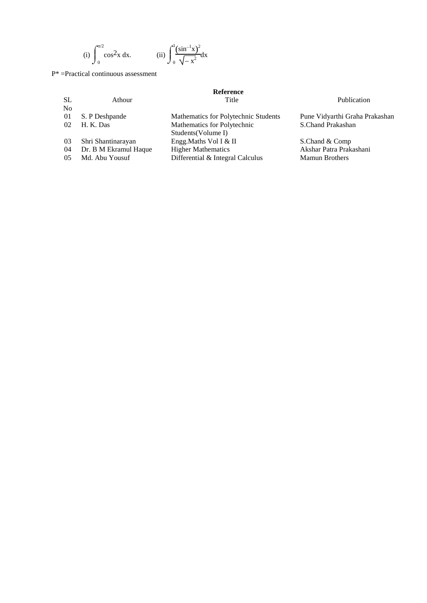(i) 
$$
\int_0^{\pi/2} \cos^2 x \, dx.
$$
 (ii)  $\int_0^1 \frac{(\sin^{-1} x)^2}{\sqrt{-x^2}} dx$ 

P\* =Practical continuous assessment

|                |                       | Reference                            |                                |
|----------------|-----------------------|--------------------------------------|--------------------------------|
| SL             | Athour                | Title                                | Publication                    |
| N <sub>0</sub> |                       |                                      |                                |
| 01             | S. P Deshpande        | Mathematics for Polytechnic Students | Pune Vidyarthi Graha Prakashan |
| 02             | H. K. Das             | Mathematics for Polytechnic          | S.Chand Prakashan              |
|                |                       | Students (Volume I)                  |                                |
| 03             | Shri Shantinarayan    | Engg. Maths Vol I & II               | S.Chand & Comp                 |
| 04             | Dr. B M Ekramul Haque | <b>Higher Mathematics</b>            | Akshar Patra Prakashani        |
| 05             | Md. Abu Yousuf        | Differential & Integral Calculus     | <b>Mamun Brothers</b>          |
|                |                       |                                      |                                |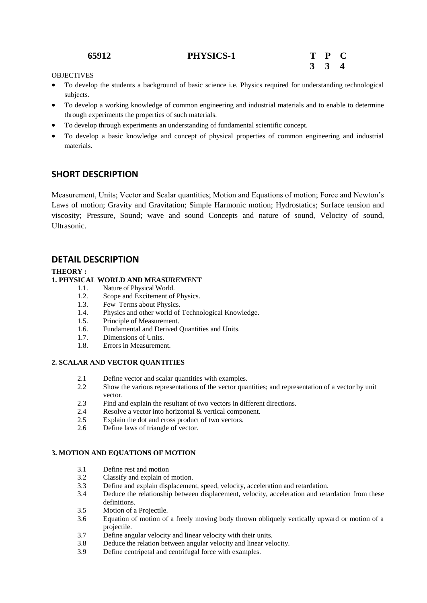## **65912 PHYSICS-1 T P C**



## **OBJECTIVES**

- To develop the students a background of basic science i.e. Physics required for understanding technological subjects.
- To develop a working knowledge of common engineering and industrial materials and to enable to determine through experiments the properties of such materials.
- To develop through experiments an understanding of fundamental scientific concept.
- To develop a basic knowledge and concept of physical properties of common engineering and industrial materials.

## **SHORT DESCRIPTION**

Measurement, Units; Vector and Scalar quantities; Motion and Equations of motion; Force and Newton's Laws of motion; Gravity and Gravitation; Simple Harmonic motion; Hydrostatics; Surface tension and viscosity; Pressure, Sound; wave and sound Concepts and nature of sound, Velocity of sound, Ultrasonic.

## **DETAIL DESCRIPTION**

### **THEORY :**

## **1. PHYSICAL WORLD AND MEASUREMENT**

- 1.1. Nature of Physical World.
- 1.2. Scope and Excitement of Physics.
- 1.3. Few Terms about Physics.
- 1.4. Physics and other world of Technological Knowledge.
- 1.5. Principle of Measurement.
- 1.6. Fundamental and Derived Quantities and Units.
- 1.7. Dimensions of Units.
- 1.8. Errors in Measurement.

## **2. SCALAR AND VECTOR QUANTITIES**

- 2.1 Define vector and scalar quantities with examples.
- 2.2 Show the various representations of the vector quantities; and representation of a vector by unit vector.
- 2.3 Find and explain the resultant of two vectors in different directions.
- 2.4 Resolve a vector into horizontal & vertical component.
- 2.5 Explain the dot and cross product of two vectors.
- 2.6 Define laws of triangle of vector.

### **3. MOTION AND EQUATIONS OF MOTION**

- 3.1 Define rest and motion
- 3.2 Classify and explain of motion.
- 3.3 Define and explain displacement, speed, velocity, acceleration and retardation.
- 3.4 Deduce the relationship between displacement, velocity, acceleration and retardation from these definitions.
- 3.5 Motion of a Projectile.
- 3.6 Equation of motion of a freely moving body thrown obliquely vertically upward or motion of a projectile.
- 3.7 Define angular velocity and linear velocity with their units.
- 3.8 Deduce the relation between angular velocity and linear velocity.
- 3.9 Define centripetal and centrifugal force with examples.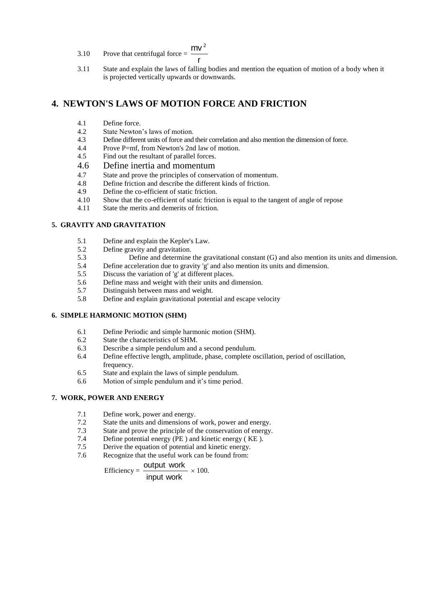- 3.10 Prove that centrifugal force = r  $mv<sup>2</sup>$
- 3.11 State and explain the laws of falling bodies and mention the equation of motion of a body when it is projected vertically upwards or downwards.

## **4. NEWTON'S LAWS OF MOTION FORCE AND FRICTION**

- 4.1 Define force.
- 4.2 State Newton's laws of motion.<br>4.3 Define different units of force and
- 4.3 Define different units of force and their correlation and also mention the dimension of force.<br>4.4 Prove P=mf from Newton's 2nd law of motion
- Prove P=mf, from Newton's 2nd law of motion.
- 4.5 Find out the resultant of parallel forces.
- 4.6 Define inertia and momentum
- 4.7 State and prove the principles of conservation of momentum.
- 4.8 Define friction and describe the different kinds of friction.
- 4.9 Define the co-efficient of static friction.<br>4.10 Show that the co-efficient of static friction.
- 4.10 Show that the co-efficient of static friction is equal to the tangent of angle of repose 4.11 State the merits and demerits of friction.
- State the merits and demerits of friction.

#### **5. GRAVITY AND GRAVITATION**

- 5.1 Define and explain the Kepler's Law.
- 5.2 Define gravity and gravitation.
- 5.3 Define and determine the gravitational constant (G) and also mention its units and dimension.
- 5.4 Define acceleration due to gravity 'g' and also mention its units and dimension.
- 5.5 Discuss the variation of 'g' at different places.
- 5.6 Define mass and weight with their units and dimension.<br>5.7 Distinguish between mass and weight.
- Distinguish between mass and weight.
- 5.8 Define and explain gravitational potential and escape velocity

#### **6. SIMPLE HARMONIC MOTION (SHM)**

- 6.1 Define Periodic and simple harmonic motion (SHM).
- 6.2 State the characteristics of SHM.
- 6.3 Describe a simple pendulum and a second pendulum.
- 6.4 Define effective length, amplitude, phase, complete oscillation, period of oscillation, frequency.
- 6.5 State and explain the laws of simple pendulum.
- 6.6 Motion of simple pendulum and it's time period.

### **7. WORK, POWER AND ENERGY**

- 7.1 Define work, power and energy.
- 7.2 State the units and dimensions of work, power and energy.
- 7.3 State and prove the principle of the conservation of energy.
- 7.4 Define potential energy (PE ) and kinetic energy ( KE ).
- 7.5 Derive the equation of potential and kinetic energy.
- 7.6 Recognize that the useful work can be found from:

Efficiency  $=$ input work output work  $\times 100$ .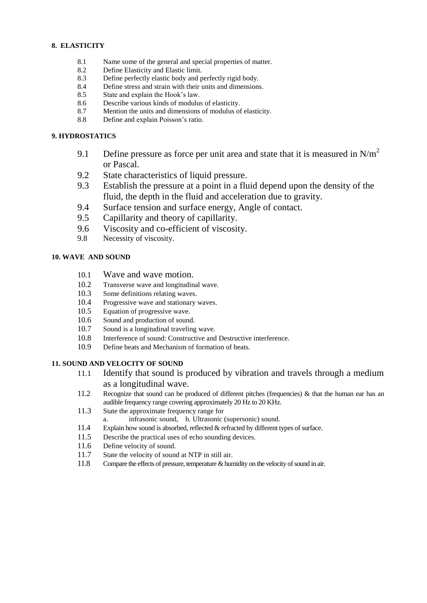## **8. ELASTICITY**

- 8.1 Name some of the general and special properties of matter.
- 8.2 Define Elasticity and Elastic limit.
- 8.3 Define perfectly elastic body and perfectly rigid body.
- 8.4 Define stress and strain with their units and dimensions.
- 8.5 State and explain the Hook's law.
- 8.6 Describe various kinds of modulus of elasticity.
- 8.7 Mention the units and dimensions of modulus of elasticity.
- 8.8 Define and explain Poisson's ratio.

## **9. HYDROSTATICS**

- 9.1 Define pressure as force per unit area and state that it is measured in  $N/m^2$ or Pascal.
- 9.2 State characteristics of liquid pressure.
- 9.3 Establish the pressure at a point in a fluid depend upon the density of the fluid, the depth in the fluid and acceleration due to gravity.
- 9.4 Surface tension and surface energy, Angle of contact.
- 9.5 Capillarity and theory of capillarity.
- 9.6 Viscosity and co-efficient of viscosity.
- 9.8 Necessity of viscosity.

## **10. WAVE AND SOUND**

- 10.1 Wave and wave motion.
- 10.2 Transverse wave and longitudinal wave.
- 10.3 Some definitions relating waves.
- 10.4 Progressive wave and stationary waves.
- 10.5 Equation of progressive wave.
- 10.6 Sound and production of sound.
- 10.7 Sound is a longitudinal traveling wave.
- 10.8 Interference of sound: Constructive and Destructive interference.
- 10.9 Define beats and Mechanism of formation of beats.

## **11. SOUND AND VELOCITY OF SOUND**

- 11.1 Identify that sound is produced by vibration and travels through a medium as a longitudinal wave.
- 11.2 Recognize that sound can be produced of different pitches (frequencies) & that the human ear has an audible frequency range covering approximately 20 Hz to 20 KHz.
- 11.3 State the approximate frequency range for
- a. infrasonic sound, b. Ultrasonic (supersonic) sound.
- 11.4 Explain how sound is absorbed, reflected & refracted by different types of surface.
- 11.5 Describe the practical uses of echo sounding devices.
- 11.6 Define velocity of sound.
- 11.7 State the velocity of sound at NTP in still air.
- 11.8 Compare the effects of pressure, temperature & humidity on the velocity of sound in air.